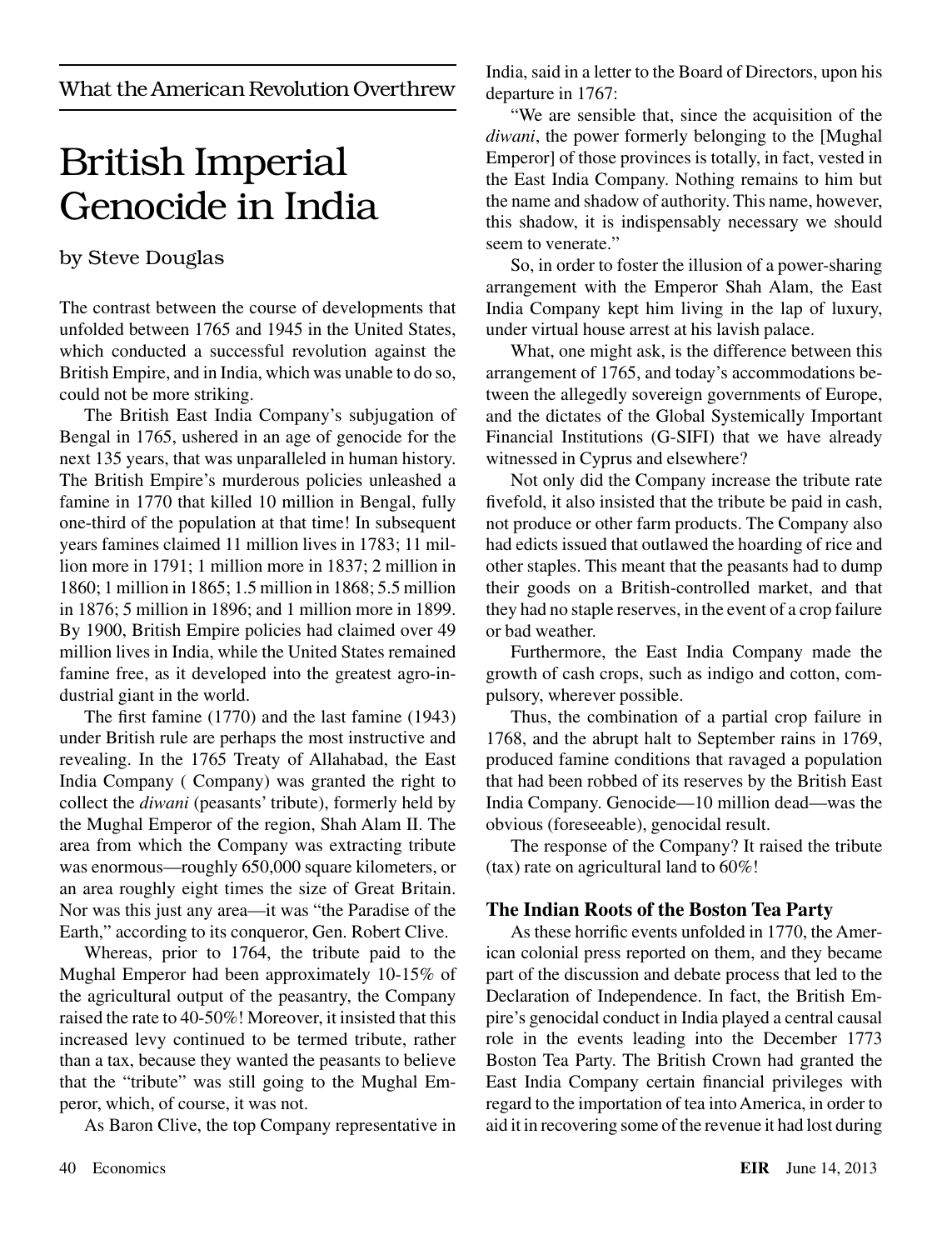What the American Revolution Overthrew

# British Imperial Genocide in India

# by Steve Douglas

The contrast between the course of developments that unfolded between 1765 and 1945 in the United States, which conducted a successful revolution against the British Empire, and in India, which was unable to do so, could not be more striking.

The British East India Company's subjugation of Bengal in 1765, ushered in an age of genocide for the next 135 years, that was unparalleled in human history. The British Empire's murderous policies unleashed a famine in 1770 that killed 10 million in Bengal, fully one-third of the population at that time! In subsequent years famines claimed 11 million lives in 1783; 11 million more in 1791; 1 million more in 1837; 2 million in 1860; 1 million in 1865; 1.5 million in 1868; 5.5 million in 1876; 5 million in 1896; and 1 million more in 1899. By 1900, British Empire policies had claimed over 49 million lives in India, while the United States remained famine free, as it developed into the greatest agro-industrial giant in the world.

The first famine (1770) and the last famine (1943) under British rule are perhaps the most instructive and revealing. In the 1765 Treaty of Allahabad, the East India Company ( Company) was granted the right to collect the *diwani* (peasants' tribute), formerly held by the Mughal Emperor of the region, Shah Alam II. The area from which the Company was extracting tribute was enormous—roughly 650,000 square kilometers, or an area roughly eight times the size of Great Britain. Nor was this just any area—it was "the Paradise of the Earth," according to its conqueror, Gen. Robert Clive.

Whereas, prior to 1764, the tribute paid to the Mughal Emperor had been approximately 10-15% of the agricultural output of the peasantry, the Company raised the rate to 40-50%! Moreover, it insisted that this increased levy continued to be termed tribute, rather than a tax, because they wanted the peasants to believe that the "tribute" was still going to the Mughal Emperor, which, of course, it was not.

As Baron Clive, the top Company representative in

India, said in a letter to the Board of Directors, upon his departure in 1767:

"We are sensible that, since the acquisition of the *diwani*, the power formerly belonging to the [Mughal Emperor] of those provinces is totally, in fact, vested in the East India Company. Nothing remains to him but the name and shadow of authority. This name, however, this shadow, it is indispensably necessary we should seem to venerate."

So, in order to foster the illusion of a power-sharing arrangement with the Emperor Shah Alam, the East India Company kept him living in the lap of luxury, under virtual house arrest at his lavish palace.

What, one might ask, is the difference between this arrangement of 1765, and today's accommodations between the allegedly sovereign governments of Europe, and the dictates of the Global Systemically Important Financial Institutions (G-SIFI) that we have already witnessed in Cyprus and elsewhere?

Not only did the Company increase the tribute rate fivefold, it also insisted that the tribute be paid in cash, not produce or other farm products. The Company also had edicts issued that outlawed the hoarding of rice and other staples. This meant that the peasants had to dump their goods on a British-controlled market, and that they had no staple reserves, in the event of a crop failure or bad weather.

Furthermore, the East India Company made the growth of cash crops, such as indigo and cotton, compulsory, wherever possible.

Thus, the combination of a partial crop failure in 1768, and the abrupt halt to September rains in 1769, produced famine conditions that ravaged a population that had been robbed of its reserves by the British East India Company. Genocide—10 million dead—was the obvious (foreseeable), genocidal result.

The response of the Company? It raised the tribute (tax) rate on agricultural land to 60%!

# **The Indian Roots of the Boston Tea Party**

As these horrific events unfolded in 1770, the American colonial press reported on them, and they became part of the discussion and debate process that led to the Declaration of Independence. In fact, the British Empire's genocidal conduct in India played a central causal role in the events leading into the December 1773 Boston Tea Party. The British Crown had granted the East India Company certain financial privileges with regard to the importation of tea into America, in order to aid it in recovering some of the revenue it had lost during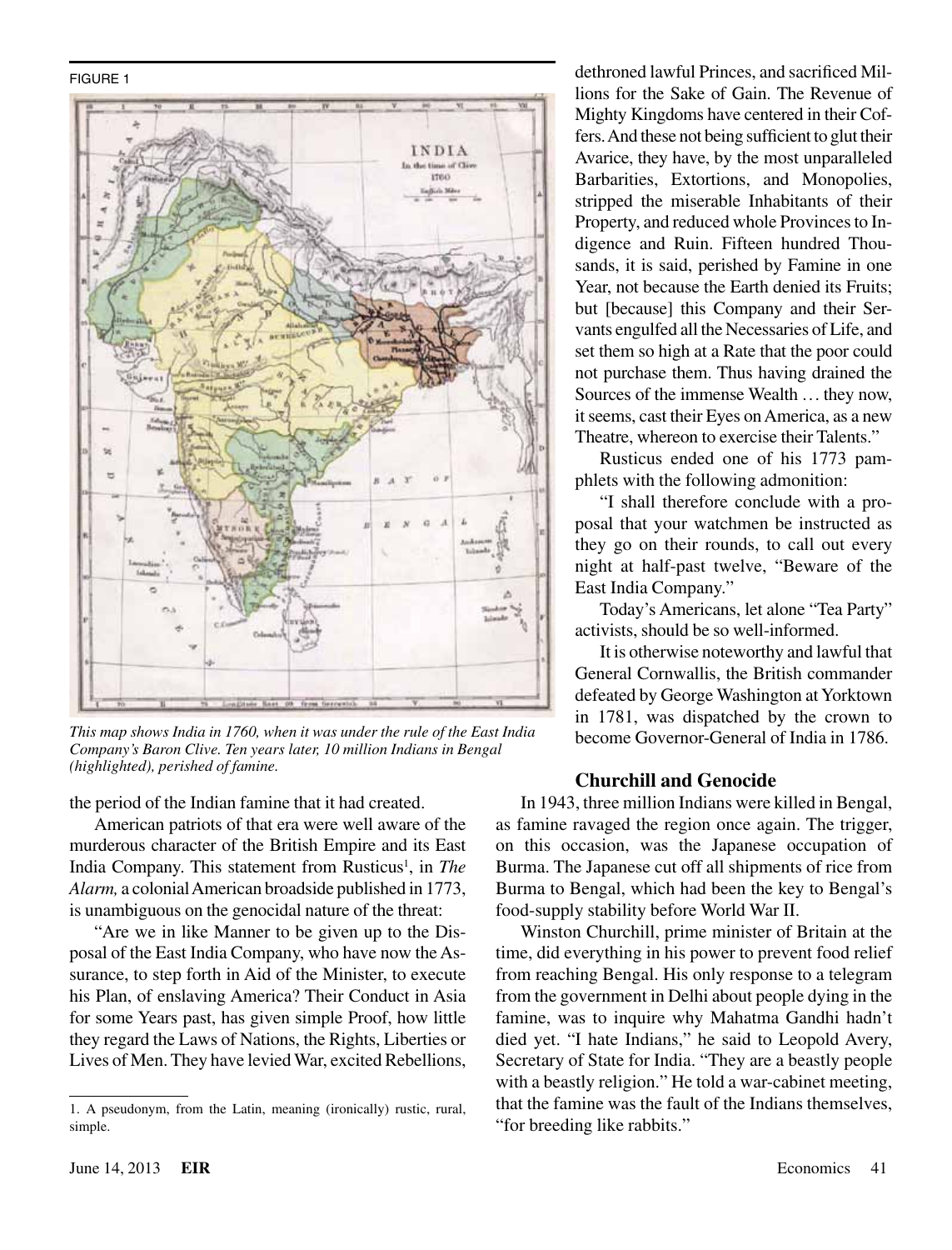#### FIGURE 1



*This map shows India in 1760, when it was under the rule of the East India Company's Baron Clive. Ten years later, 10 million Indians in Bengal (highlighted), perished of famine.*

the period of the Indian famine that it had created.

American patriots of that era were well aware of the murderous character of the British Empire and its East India Company. This statement from Rusticus<sup>1</sup>, in *The Alarm,* a colonial American broadside published in 1773, is unambiguous on the genocidal nature of the threat:

"Are we in like Manner to be given up to the Disposal of the East India Company, who have now the Assurance, to step forth in Aid of the Minister, to execute his Plan, of enslaving America? Their Conduct in Asia for some Years past, has given simple Proof, how little they regard the Laws of Nations, the Rights, Liberties or Lives of Men. They have levied War, excited Rebellions, dethroned lawful Princes, and sacrificed Millions for the Sake of Gain. The Revenue of Mighty Kingdoms have centered in their Coffers. And these not being sufficient to glut their Avarice, they have, by the most unparalleled Barbarities, Extortions, and Monopolies, stripped the miserable Inhabitants of their Property, and reduced whole Provinces to Indigence and Ruin. Fifteen hundred Thousands, it is said, perished by Famine in one Year, not because the Earth denied its Fruits; but [because] this Company and their Servants engulfed all the Necessaries of Life, and set them so high at a Rate that the poor could not purchase them. Thus having drained the Sources of the immense Wealth ... they now, it seems, cast their Eyes on America, as a new Theatre, whereon to exercise their Talents."

Rusticus ended one of his 1773 pamphlets with the following admonition:

"I shall therefore conclude with a proposal that your watchmen be instructed as they go on their rounds, to call out every night at half-past twelve, "Beware of the East India Company."

Today's Americans, let alone "Tea Party" activists, should be so well-informed.

It is otherwise noteworthy and lawful that General Cornwallis, the British commander defeated by George Washington at Yorktown in 1781, was dispatched by the crown to become Governor-General of India in 1786.

### **Churchill and Genocide**

In 1943, three million Indians were killed in Bengal, as famine ravaged the region once again. The trigger, on this occasion, was the Japanese occupation of Burma. The Japanese cut off all shipments of rice from Burma to Bengal, which had been the key to Bengal's food-supply stability before World War II.

Winston Churchill, prime minister of Britain at the time, did everything in his power to prevent food relief from reaching Bengal. His only response to a telegram from the government in Delhi about people dying in the famine, was to inquire why Mahatma Gandhi hadn't died yet. "I hate Indians," he said to Leopold Avery, Secretary of State for India. "They are a beastly people with a beastly religion." He told a war-cabinet meeting, that the famine was the fault of the Indians themselves, "for breeding like rabbits."

<sup>1.</sup> A pseudonym, from the Latin, meaning (ironically) rustic, rural, simple.